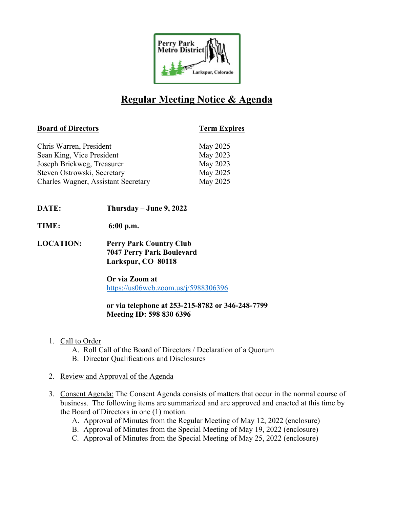

# **Regular Meeting Notice & Agenda**

# **Board of Directors Term Expires**

| Chris Warren, President                    | May 2025 |
|--------------------------------------------|----------|
| Sean King, Vice President                  | May 2023 |
| Joseph Brickweg, Treasurer                 | May 2023 |
| Steven Ostrowski, Secretary                | May 2025 |
| <b>Charles Wagner, Assistant Secretary</b> | May 2025 |

- **DATE: Thursday – June 9, 2022**
- **TIME: 6:00 p.m.**
- **LOCATION: Perry Park Country Club 7047 Perry Park Boulevard Larkspur, CO 80118**

**Or via Zoom at** https://us06web.zoom.us/j/5988306396

# **or via telephone at 253-215-8782 or 346-248-7799 Meeting ID: 598 830 6396**

- 1. Call to Order
	- A. Roll Call of the Board of Directors / Declaration of a Quorum
	- B. Director Qualifications and Disclosures
- 2. Review and Approval of the Agenda
- 3. Consent Agenda: The Consent Agenda consists of matters that occur in the normal course of business. The following items are summarized and are approved and enacted at this time by the Board of Directors in one (1) motion.
	- A. Approval of Minutes from the Regular Meeting of May 12, 2022 (enclosure)
	- B. Approval of Minutes from the Special Meeting of May 19, 2022 (enclosure)
	- C. Approval of Minutes from the Special Meeting of May 25, 2022 (enclosure)